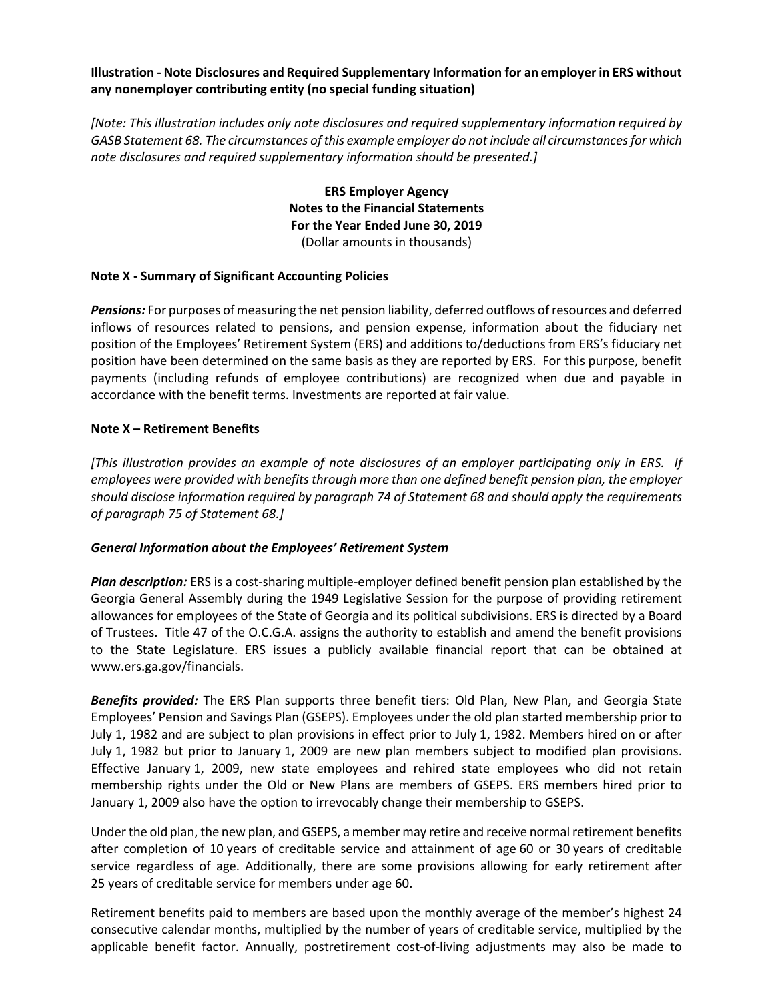## Illustration - Note Disclosures and Required Supplementary Information for an employer in ERS without any nonemployer contributing entity (no special funding situation)

[Note: This illustration includes only note disclosures and required supplementary information required by GASB Statement 68. The circumstances of this example employer do not include all circumstances for which note disclosures and required supplementary information should be presented.]

> ERS Employer Agency Notes to the Financial Statements For the Year Ended June 30, 2019 (Dollar amounts in thousands)

### Note X - Summary of Significant Accounting Policies

Pensions: For purposes of measuring the net pension liability, deferred outflows of resources and deferred inflows of resources related to pensions, and pension expense, information about the fiduciary net position of the Employees' Retirement System (ERS) and additions to/deductions from ERS's fiduciary net position have been determined on the same basis as they are reported by ERS. For this purpose, benefit payments (including refunds of employee contributions) are recognized when due and payable in accordance with the benefit terms. Investments are reported at fair value.

### Note X – Retirement Benefits

[This illustration provides an example of note disclosures of an employer participating only in ERS. If employees were provided with benefits through more than one defined benefit pension plan, the employer should disclose information required by paragraph 74 of Statement 68 and should apply the requirements of paragraph 75 of Statement 68.]

#### General Information about the Employees' Retirement System

Plan description: ERS is a cost-sharing multiple-employer defined benefit pension plan established by the Georgia General Assembly during the 1949 Legislative Session for the purpose of providing retirement allowances for employees of the State of Georgia and its political subdivisions. ERS is directed by a Board of Trustees. Title 47 of the O.C.G.A. assigns the authority to establish and amend the benefit provisions to the State Legislature. ERS issues a publicly available financial report that can be obtained at www.ers.ga.gov/financials.

Benefits provided: The ERS Plan supports three benefit tiers: Old Plan, New Plan, and Georgia State Employees' Pension and Savings Plan (GSEPS). Employees under the old plan started membership prior to July 1, 1982 and are subject to plan provisions in effect prior to July 1, 1982. Members hired on or after July 1, 1982 but prior to January 1, 2009 are new plan members subject to modified plan provisions. Effective January 1, 2009, new state employees and rehired state employees who did not retain membership rights under the Old or New Plans are members of GSEPS. ERS members hired prior to January 1, 2009 also have the option to irrevocably change their membership to GSEPS.

Under the old plan, the new plan, and GSEPS, a member may retire and receive normal retirement benefits after completion of 10 years of creditable service and attainment of age 60 or 30 years of creditable service regardless of age. Additionally, there are some provisions allowing for early retirement after 25 years of creditable service for members under age 60.

Retirement benefits paid to members are based upon the monthly average of the member's highest 24 consecutive calendar months, multiplied by the number of years of creditable service, multiplied by the applicable benefit factor. Annually, postretirement cost-of-living adjustments may also be made to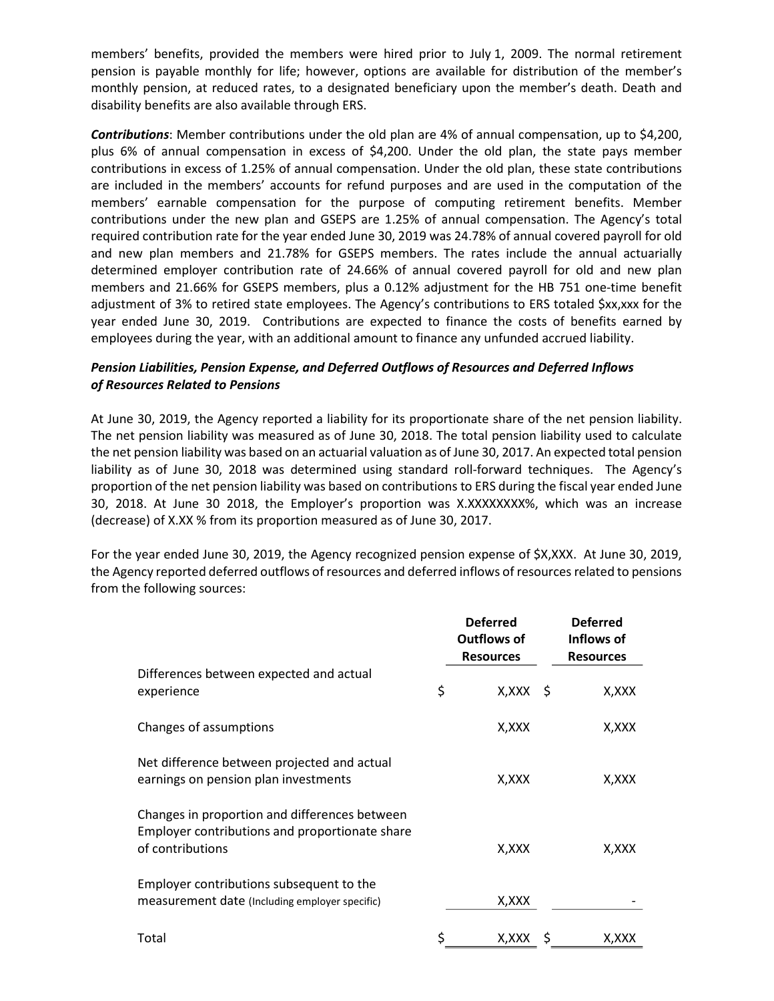members' benefits, provided the members were hired prior to July 1, 2009. The normal retirement pension is payable monthly for life; however, options are available for distribution of the member's monthly pension, at reduced rates, to a designated beneficiary upon the member's death. Death and disability benefits are also available through ERS.

Contributions: Member contributions under the old plan are 4% of annual compensation, up to \$4,200, plus 6% of annual compensation in excess of \$4,200. Under the old plan, the state pays member contributions in excess of 1.25% of annual compensation. Under the old plan, these state contributions are included in the members' accounts for refund purposes and are used in the computation of the members' earnable compensation for the purpose of computing retirement benefits. Member contributions under the new plan and GSEPS are 1.25% of annual compensation. The Agency's total required contribution rate for the year ended June 30, 2019 was 24.78% of annual covered payroll for old and new plan members and 21.78% for GSEPS members. The rates include the annual actuarially determined employer contribution rate of 24.66% of annual covered payroll for old and new plan members and 21.66% for GSEPS members, plus a 0.12% adjustment for the HB 751 one-time benefit adjustment of 3% to retired state employees. The Agency's contributions to ERS totaled \$xx,xxx for the year ended June 30, 2019. Contributions are expected to finance the costs of benefits earned by employees during the year, with an additional amount to finance any unfunded accrued liability.

# Pension Liabilities, Pension Expense, and Deferred Outflows of Resources and Deferred Inflows of Resources Related to Pensions

At June 30, 2019, the Agency reported a liability for its proportionate share of the net pension liability. The net pension liability was measured as of June 30, 2018. The total pension liability used to calculate the net pension liability was based on an actuarial valuation as of June 30, 2017. An expected total pension liability as of June 30, 2018 was determined using standard roll-forward techniques. The Agency's proportion of the net pension liability was based on contributions to ERS during the fiscal year ended June 30, 2018. At June 30 2018, the Employer's proportion was X.XXXXXXXX%, which was an increase (decrease) of X.XX % from its proportion measured as of June 30, 2017.

For the year ended June 30, 2019, the Agency recognized pension expense of \$X,XXX. At June 30, 2019, the Agency reported deferred outflows of resources and deferred inflows of resources related to pensions from the following sources:

|                                                                                                                     | <b>Deferred</b><br><b>Outflows of</b><br><b>Resources</b> |    | <b>Deferred</b><br>Inflows of<br><b>Resources</b> |
|---------------------------------------------------------------------------------------------------------------------|-----------------------------------------------------------|----|---------------------------------------------------|
| Differences between expected and actual<br>experience                                                               | \$<br>$X, XXX \S$                                         |    | X,XXX                                             |
| Changes of assumptions                                                                                              | X,XXX                                                     |    | X,XXX                                             |
| Net difference between projected and actual<br>earnings on pension plan investments                                 | X,XXX                                                     |    | X,XXX                                             |
| Changes in proportion and differences between<br>Employer contributions and proportionate share<br>of contributions | X,XXX                                                     |    | X,XXX                                             |
| Employer contributions subsequent to the<br>measurement date (Including employer specific)                          | X, XXX                                                    |    |                                                   |
| Total                                                                                                               | \$<br>X,XXX                                               | -S | X,XXX                                             |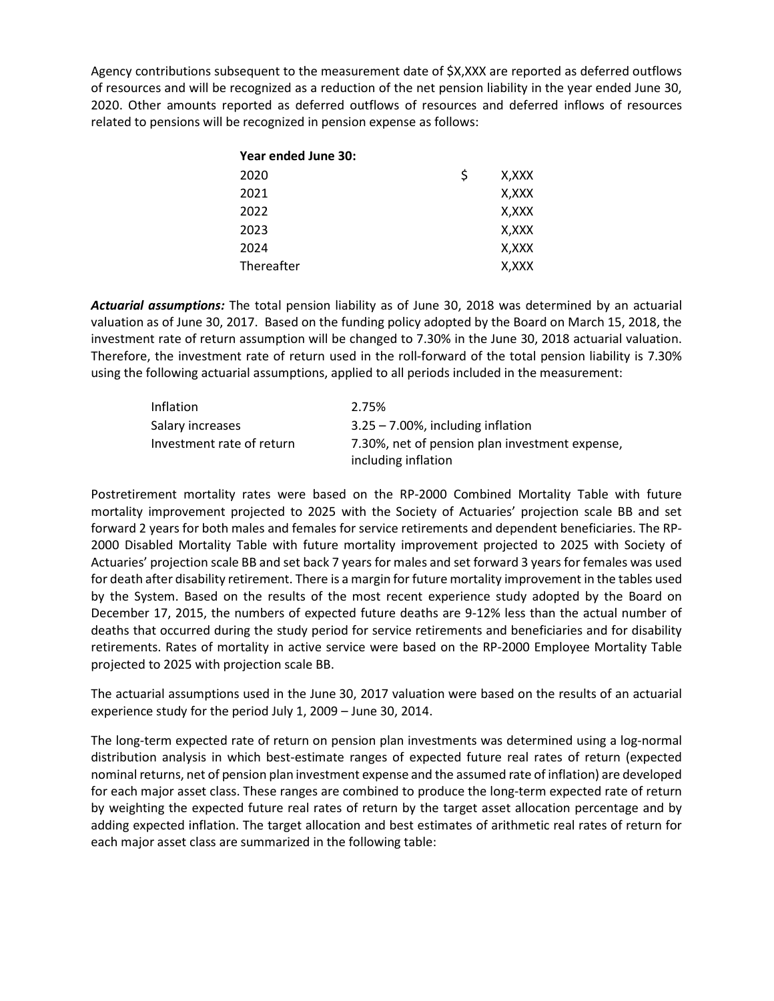Agency contributions subsequent to the measurement date of \$X,XXX are reported as deferred outflows of resources and will be recognized as a reduction of the net pension liability in the year ended June 30, 2020. Other amounts reported as deferred outflows of resources and deferred inflows of resources related to pensions will be recognized in pension expense as follows:

| Year ended June 30: |   |       |
|---------------------|---|-------|
| 2020                | S | X,XXX |
| 2021                |   | X,XXX |
| 2022                |   | X,XXX |
| 2023                |   | X,XXX |
| 2024                |   | X,XXX |
| Thereafter          |   | X,XXX |

Actuarial assumptions: The total pension liability as of June 30, 2018 was determined by an actuarial valuation as of June 30, 2017. Based on the funding policy adopted by the Board on March 15, 2018, the investment rate of return assumption will be changed to 7.30% in the June 30, 2018 actuarial valuation. Therefore, the investment rate of return used in the roll-forward of the total pension liability is 7.30% using the following actuarial assumptions, applied to all periods included in the measurement:

| <b>Inflation</b>          | 2.75%                                                                 |
|---------------------------|-----------------------------------------------------------------------|
| Salary increases          | $3.25 - 7.00\%$ , including inflation                                 |
| Investment rate of return | 7.30%, net of pension plan investment expense,<br>including inflation |

Postretirement mortality rates were based on the RP-2000 Combined Mortality Table with future mortality improvement projected to 2025 with the Society of Actuaries' projection scale BB and set forward 2 years for both males and females for service retirements and dependent beneficiaries. The RP-2000 Disabled Mortality Table with future mortality improvement projected to 2025 with Society of Actuaries' projection scale BB and set back 7 years for males and set forward 3 years for females was used for death after disability retirement. There is a margin for future mortality improvement in the tables used by the System. Based on the results of the most recent experience study adopted by the Board on December 17, 2015, the numbers of expected future deaths are 9-12% less than the actual number of deaths that occurred during the study period for service retirements and beneficiaries and for disability retirements. Rates of mortality in active service were based on the RP-2000 Employee Mortality Table projected to 2025 with projection scale BB.

The actuarial assumptions used in the June 30, 2017 valuation were based on the results of an actuarial experience study for the period July 1, 2009 – June 30, 2014.

The long-term expected rate of return on pension plan investments was determined using a log-normal distribution analysis in which best-estimate ranges of expected future real rates of return (expected nominal returns, net of pension plan investment expense and the assumed rate of inflation) are developed for each major asset class. These ranges are combined to produce the long-term expected rate of return by weighting the expected future real rates of return by the target asset allocation percentage and by adding expected inflation. The target allocation and best estimates of arithmetic real rates of return for each major asset class are summarized in the following table: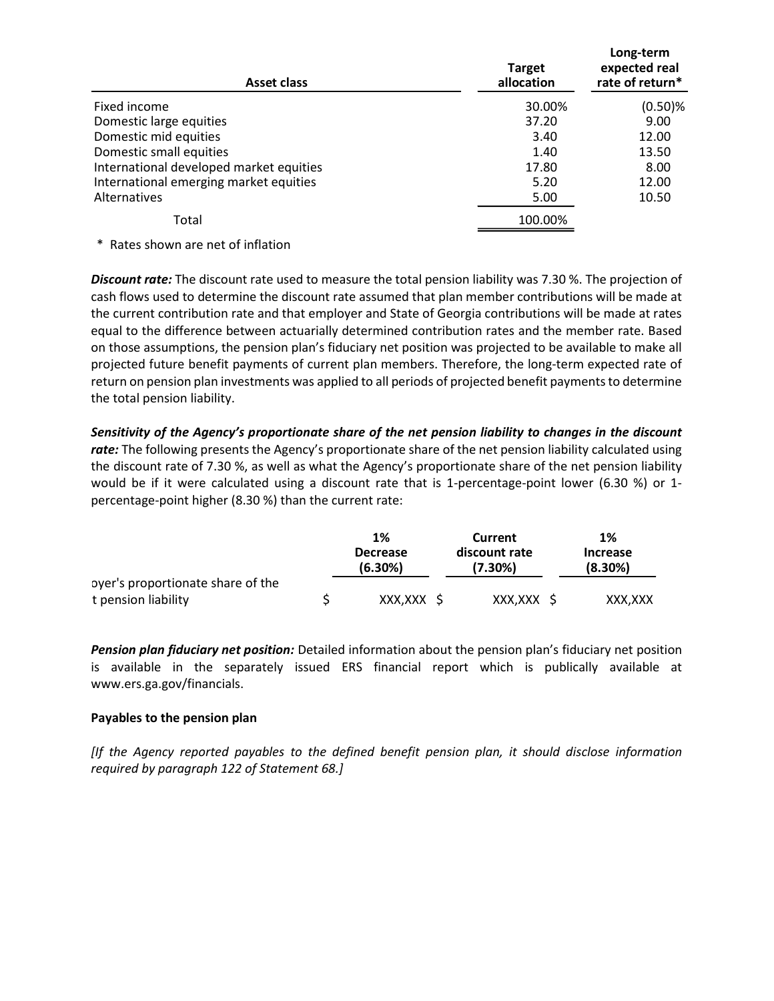|                                                        | <b>Target</b> | Long-term<br>expected real |
|--------------------------------------------------------|---------------|----------------------------|
| <b>Asset class</b>                                     | allocation    | rate of return*            |
| Fixed income                                           | 30.00%        | $(0.50)$ %                 |
| Domestic large equities                                | 37.20         | 9.00                       |
| Domestic mid equities                                  | 3.40          | 12.00                      |
|                                                        |               | 13.50                      |
|                                                        | 1.40          |                            |
| Domestic small equities                                | 17.80         | 8.00                       |
| International developed market equities                |               | 12.00                      |
| International emerging market equities<br>Alternatives | 5.20<br>5.00  | 10.50                      |
| Total                                                  | 100.00%       |                            |

**Discount rate:** The discount rate used to measure the total pension liability was 7.30 %. The projection of cash flows used to determine the discount rate assumed that plan member contributions will be made at the current contribution rate and that employer and State of Georgia contributions will be made at rates equal to the difference between actuarially determined contribution rates and the member rate. Based on those assumptions, the pension plan's fiduciary net position was projected to be available to make all projected future benefit payments of current plan members. Therefore, the long-term expected rate of return on pension plan investments was applied to all periods of projected benefit payments to determine the total pension liability.

Sensitivity of the Agency's proportionate share of the net pension liability to changes in the discount rate: The following presents the Agency's proportionate share of the net pension liability calculated using the discount rate of 7.30 %, as well as what the Agency's proportionate share of the net pension liability would be if it were calculated using a discount rate that is 1-percentage-point lower (6.30 %) or 1 percentage-point higher (8.30 %) than the current rate:

|                                   | 1%<br><b>Decrease</b><br>(6.30%) | Current<br>discount rate<br>(7.30%) | 1%<br><b>Increase</b><br>(8.30%) |
|-----------------------------------|----------------------------------|-------------------------------------|----------------------------------|
| oyer's proportionate share of the |                                  |                                     |                                  |
| t pension liability               | XXX, XXX                         | XXX, XXX                            | XXX, XXX                         |

Pension plan fiduciary net position: Detailed information about the pension plan's fiduciary net position is available in the separately issued ERS financial report which is publically available at www.ers.ga.gov/financials.

## Payables to the pension plan

[If the Agency reported payables to the defined benefit pension plan, it should disclose information required by paragraph 122 of Statement 68.]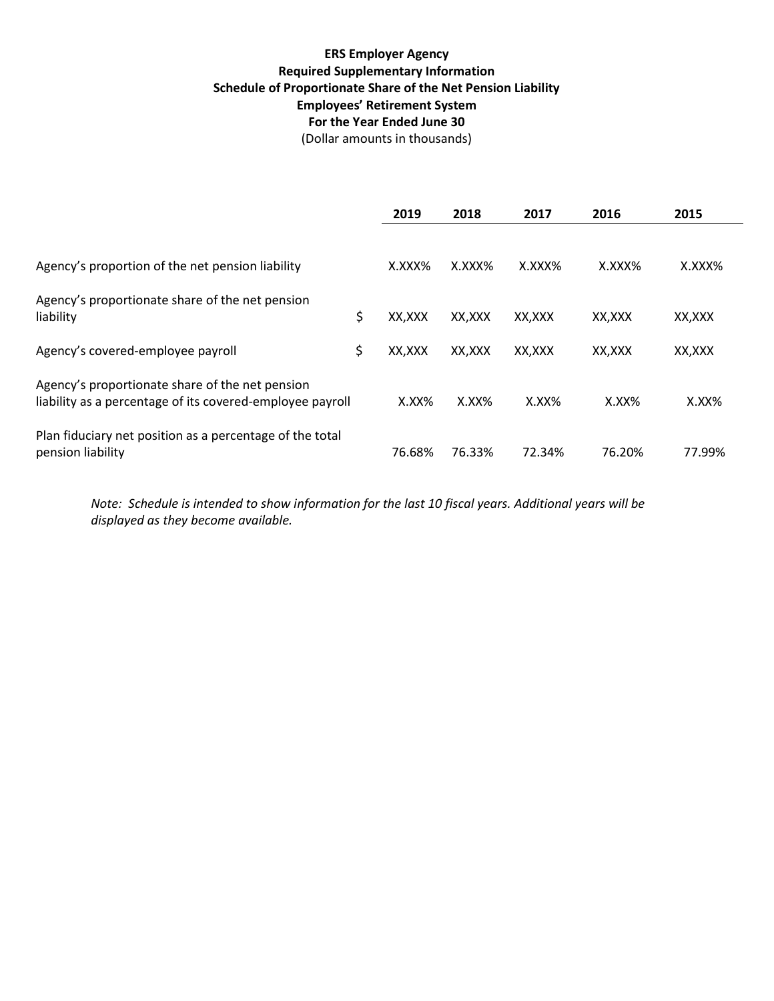# ERS Employer Agency Required Supplementary Information Schedule of Proportionate Share of the Net Pension Liability Employees' Retirement System For the Year Ended June 30 (Dollar amounts in thousands)

|                                                                                                              | 2019          | 2018     | 2017         | 2016     | 2015     |
|--------------------------------------------------------------------------------------------------------------|---------------|----------|--------------|----------|----------|
|                                                                                                              |               |          |              |          |          |
| Agency's proportion of the net pension liability                                                             | X.XXX%        | X.XXX%   | $X.$ $XXX\%$ | X.XXX%   | X.XXX%   |
| Agency's proportionate share of the net pension                                                              |               |          |              |          |          |
| liability                                                                                                    | \$<br>XX, XXX | XX.XXX   | XX,XXX       | XX,XXX   | XX,XXX   |
| Agency's covered-employee payroll                                                                            | \$<br>XX,XXX  | XX,XXX   | XX,XXX       | XX,XXX   | XX,XXX   |
| Agency's proportionate share of the net pension<br>liability as a percentage of its covered-employee payroll | $X.XX\%$      | $X.XX\%$ | $X.XX\%$     | $X.XX\%$ | $X.XX\%$ |
| Plan fiduciary net position as a percentage of the total<br>pension liability                                | 76.68%        | 76.33%   | 72.34%       | 76.20%   | 77.99%   |

Note: Schedule is intended to show information for the last 10 fiscal years. Additional years will be displayed as they become available.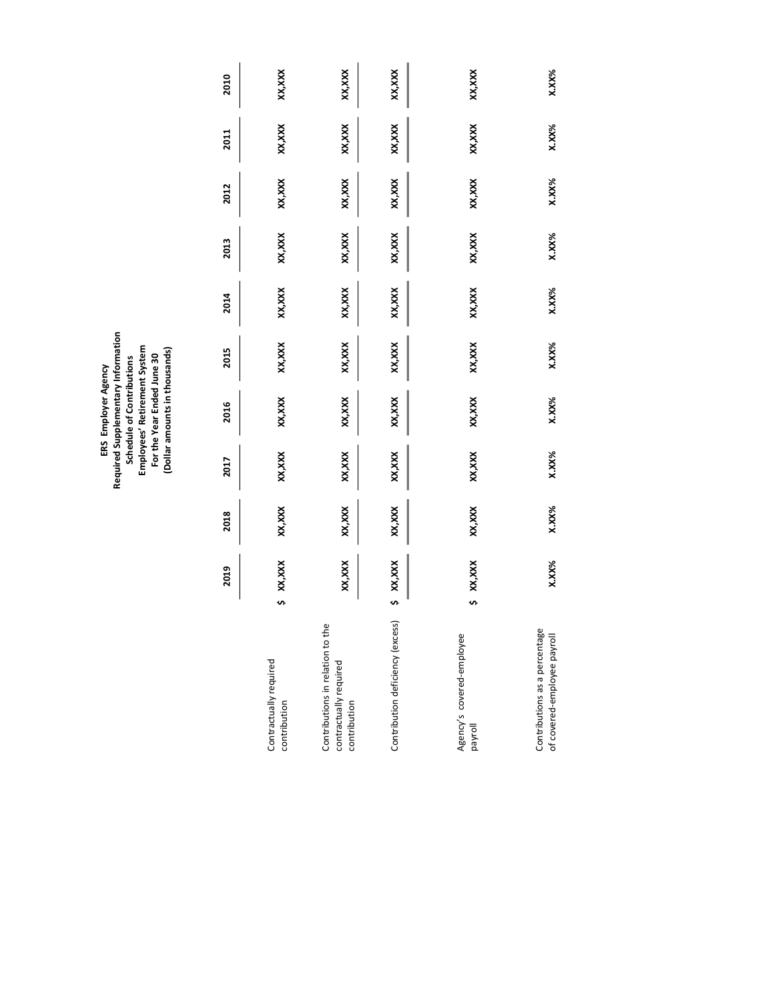|                                                                            |              |          |          | Required Supplementary Information<br>Employees' Retirement System<br>(Dollar amounts in thousands)<br>For the Year Ended June 30<br>Schedule of Contributions<br>ERS Employer Agency |        |        |          |          |          |          |
|----------------------------------------------------------------------------|--------------|----------|----------|---------------------------------------------------------------------------------------------------------------------------------------------------------------------------------------|--------|--------|----------|----------|----------|----------|
|                                                                            | 2019         | 2018     | 2017     | 2016                                                                                                                                                                                  | 2015   | 2014   | 2013     | 2012     | 2011     | 2010     |
| Contractually required<br>contribution                                     | XX,XXX<br>s, | XX,XXX   | XX,XXX   | XX, XXX                                                                                                                                                                               | XX,XXX | XX,XXX | XX,XXX   | XX,XXX   | XX, XXX  | XX,XXX   |
| Contributions in relation to the<br>contractually required<br>contribution | XX,XXX       | XX,XXX   | XX,XX    | XX, XXX                                                                                                                                                                               | XX,XXX | XX,XXX | XX,XXX   | XX,XXX   | XX, XXX  | XX,XXX   |
| Contribution deficiency (excess)                                           | \$ XX,XXX    | XX,XXX   | XX,XXX   | XX, XXX                                                                                                                                                                               | XX,XXX | XX,XXX | XX,XXX   | XX,XXX   | XX, XXX  | XX,XXX   |
| Agency's covered-employee<br>payroll                                       | XX,XXX<br>s, | XX,XXX   | XX,XXX   | XX, XXX                                                                                                                                                                               | XX,XXX | XX,XXX | XX,XXX   | XX,XXX   | XX, XXX  | XX,XXX   |
| Contributions as a percentage<br>of covered-employee payroll               | X.XX%        | $X.XX\%$ | $X.XX\%$ | $X.XX\%$                                                                                                                                                                              | X.XX%  | X.XX%  | $X.XX\%$ | $X.XX\%$ | $X.XX\%$ | $X.XX\%$ |
|                                                                            |              |          |          |                                                                                                                                                                                       |        |        |          |          |          |          |